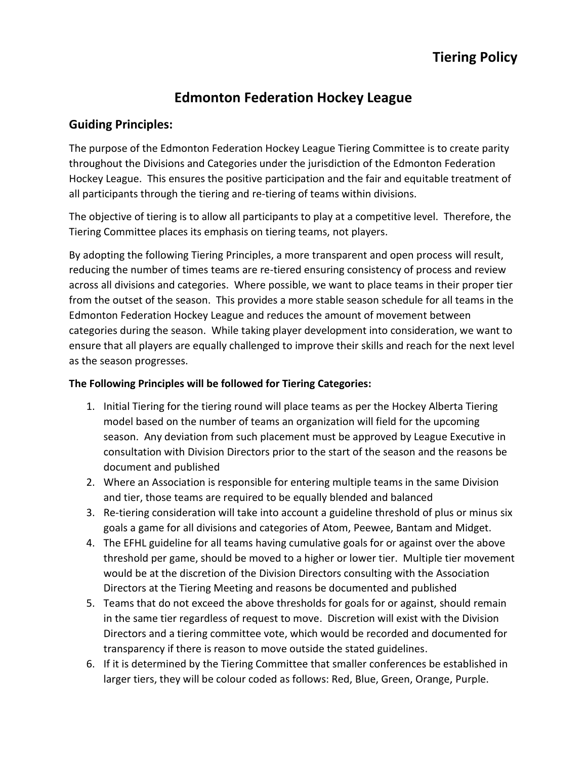# **Edmonton Federation Hockey League**

# **Guiding Principles:**

The purpose of the Edmonton Federation Hockey League Tiering Committee is to create parity throughout the Divisions and Categories under the jurisdiction of the Edmonton Federation Hockey League. This ensures the positive participation and the fair and equitable treatment of all participants through the tiering and re-tiering of teams within divisions.

The objective of tiering is to allow all participants to play at a competitive level. Therefore, the Tiering Committee places its emphasis on tiering teams, not players.

By adopting the following Tiering Principles, a more transparent and open process will result, reducing the number of times teams are re-tiered ensuring consistency of process and review across all divisions and categories. Where possible, we want to place teams in their proper tier from the outset of the season. This provides a more stable season schedule for all teams in the Edmonton Federation Hockey League and reduces the amount of movement between categories during the season. While taking player development into consideration, we want to ensure that all players are equally challenged to improve their skills and reach for the next level as the season progresses.

## **The Following Principles will be followed for Tiering Categories:**

- 1. Initial Tiering for the tiering round will place teams as per the Hockey Alberta Tiering model based on the number of teams an organization will field for the upcoming season. Any deviation from such placement must be approved by League Executive in consultation with Division Directors prior to the start of the season and the reasons be document and published
- 2. Where an Association is responsible for entering multiple teams in the same Division and tier, those teams are required to be equally blended and balanced
- 3. Re-tiering consideration will take into account a guideline threshold of plus or minus six goals a game for all divisions and categories of Atom, Peewee, Bantam and Midget.
- 4. The EFHL guideline for all teams having cumulative goals for or against over the above threshold per game, should be moved to a higher or lower tier. Multiple tier movement would be at the discretion of the Division Directors consulting with the Association Directors at the Tiering Meeting and reasons be documented and published
- 5. Teams that do not exceed the above thresholds for goals for or against, should remain in the same tier regardless of request to move. Discretion will exist with the Division Directors and a tiering committee vote, which would be recorded and documented for transparency if there is reason to move outside the stated guidelines.
- 6. If it is determined by the Tiering Committee that smaller conferences be established in larger tiers, they will be colour coded as follows: Red, Blue, Green, Orange, Purple.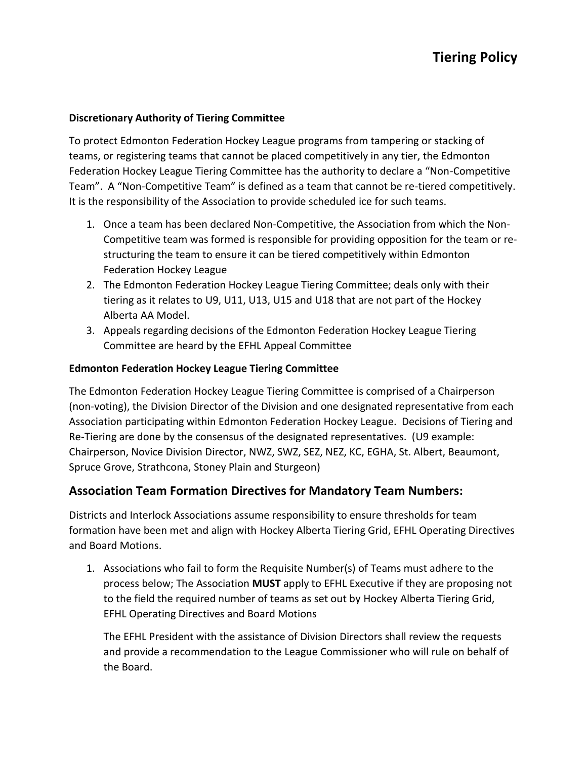#### **Discretionary Authority of Tiering Committee**

To protect Edmonton Federation Hockey League programs from tampering or stacking of teams, or registering teams that cannot be placed competitively in any tier, the Edmonton Federation Hockey League Tiering Committee has the authority to declare a "Non-Competitive Team". A "Non-Competitive Team" is defined as a team that cannot be re-tiered competitively. It is the responsibility of the Association to provide scheduled ice for such teams.

- 1. Once a team has been declared Non-Competitive, the Association from which the Non-Competitive team was formed is responsible for providing opposition for the team or restructuring the team to ensure it can be tiered competitively within Edmonton Federation Hockey League
- 2. The Edmonton Federation Hockey League Tiering Committee; deals only with their tiering as it relates to U9, U11, U13, U15 and U18 that are not part of the Hockey Alberta AA Model.
- 3. Appeals regarding decisions of the Edmonton Federation Hockey League Tiering Committee are heard by the EFHL Appeal Committee

#### **Edmonton Federation Hockey League Tiering Committee**

The Edmonton Federation Hockey League Tiering Committee is comprised of a Chairperson (non-voting), the Division Director of the Division and one designated representative from each Association participating within Edmonton Federation Hockey League. Decisions of Tiering and Re-Tiering are done by the consensus of the designated representatives. (U9 example: Chairperson, Novice Division Director, NWZ, SWZ, SEZ, NEZ, KC, EGHA, St. Albert, Beaumont, Spruce Grove, Strathcona, Stoney Plain and Sturgeon)

## **Association Team Formation Directives for Mandatory Team Numbers:**

Districts and Interlock Associations assume responsibility to ensure thresholds for team formation have been met and align with Hockey Alberta Tiering Grid, EFHL Operating Directives and Board Motions.

1. Associations who fail to form the Requisite Number(s) of Teams must adhere to the process below; The Association **MUST** apply to EFHL Executive if they are proposing not to the field the required number of teams as set out by Hockey Alberta Tiering Grid, EFHL Operating Directives and Board Motions

The EFHL President with the assistance of Division Directors shall review the requests and provide a recommendation to the League Commissioner who will rule on behalf of the Board.